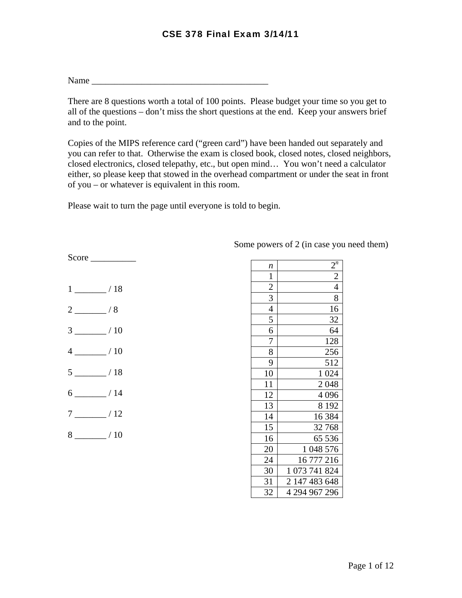Name \_\_\_\_\_\_\_\_\_\_\_\_\_\_\_\_\_\_\_\_\_\_\_\_\_\_\_\_\_\_\_\_\_\_\_\_\_\_\_

There are 8 questions worth a total of 100 points. Please budget your time so you get to all of the questions – don't miss the short questions at the end. Keep your answers brief and to the point.

Copies of the MIPS reference card ("green card") have been handed out separately and you can refer to that. Otherwise the exam is closed book, closed notes, closed neighbors, closed electronics, closed telepathy, etc., but open mind… You won't need a calculator either, so please keep that stowed in the overhead compartment or under the seat in front of you – or whatever is equivalent in this room.

Please wait to turn the page until everyone is told to begin.

| $1 \underline{\hspace{1cm}}$ / 18 |
|-----------------------------------|
| $2 \sim 8$                        |
| $3 \ \frac{\ }{10}$               |
| $4 \ \_ 10$                       |
| $5 \_ 18$                         |
| $6 \quad \overline{\quad}$ / 14   |
| $7 \underline{\hspace{1cm}}$ / 12 |
| $8 \underline{\hspace{1cm}}$ / 10 |

Score

| n              | $2^n$                       |
|----------------|-----------------------------|
| $\mathbf{1}$   | $\overline{2}$              |
| $\frac{2}{3}$  | $\overline{4}$              |
|                | 8                           |
| $\overline{4}$ | 16                          |
| 5              | 32                          |
| 6              | 64                          |
| 7              | 128                         |
| 8              | 256                         |
| 9              | 512                         |
| 10             | 1 0 24                      |
| 11             | 2048                        |
| 12             | 4 0 9 6                     |
| 13             | 8 1 9 2                     |
| 14             | 16 3 84                     |
| 15             | 32768                       |
| 16             | 65 536                      |
| 20             | 048 576<br>1                |
| 24             | 16 777 216                  |
| 30             | $\mathbf{1}$<br>073 741 824 |
| 31             | 2 147 483 648               |
| 32             | 4 294 967 296               |

Some powers of 2 (in case you need them)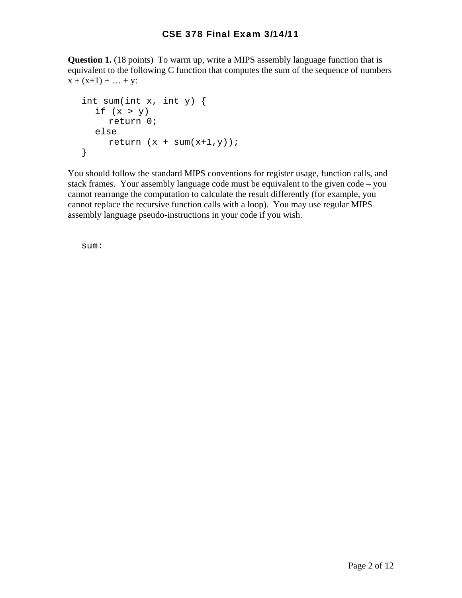**Question 1.** (18 points) To warm up, write a MIPS assembly language function that is equivalent to the following C function that computes the sum of the sequence of numbers  $x + (x+1) + ... + y$ :

```
 int sum(int x, int y) { 
 if (x > y) return 0; 
  else 
    return (x + sum(x+1, y));
}
```
You should follow the standard MIPS conventions for register usage, function calls, and stack frames. Your assembly language code must be equivalent to the given code – you cannot rearrange the computation to calculate the result differently (for example, you cannot replace the recursive function calls with a loop). You may use regular MIPS assembly language pseudo-instructions in your code if you wish.

sum: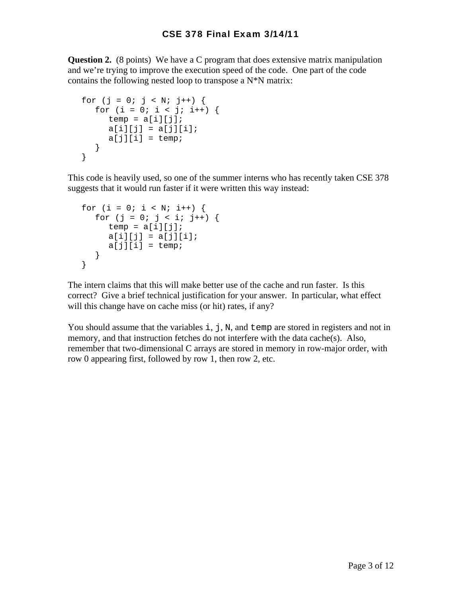**Question 2.** (8 points) We have a C program that does extensive matrix manipulation and we're trying to improve the execution speed of the code. One part of the code contains the following nested loop to transpose a  $N^*N$  matrix:

```
for (j = 0; j < N; j++) {
 for (i = 0; i < j; i++) {
    temp = a[i][j];a[i][j] = a[j][i];a[j][i] = temp; } 
}
```
This code is heavily used, so one of the summer interns who has recently taken CSE 378 suggests that it would run faster if it were written this way instead:

```
for (i = 0; i < N; i++) {
 for (j = 0; j < i; j++) {
    temp = a[i][j];a[i][j] = a[j][i];a[j][i] = temp; } 
}
```
The intern claims that this will make better use of the cache and run faster. Is this correct? Give a brief technical justification for your answer. In particular, what effect will this change have on cache miss (or hit) rates, if any?

You should assume that the variables  $\pm$ ,  $\pm$ ,  $\pm$ ,  $\pm$ , and  $\pm$  emp are stored in registers and not in memory, and that instruction fetches do not interfere with the data cache $(s)$ . Also, remember that two-dimensional C arrays are stored in memory in row-major order, with row 0 appearing first, followed by row 1, then row 2, etc.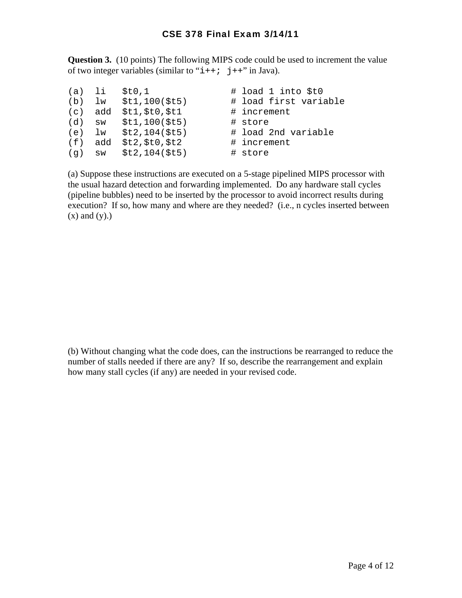**Question 3.** (10 points) The following MIPS code could be used to increment the value of two integer variables (similar to " $i++$ ; j++" in Java).

| (a) li |         | \$t0,1                    | # load 1 into \$t0    |
|--------|---------|---------------------------|-----------------------|
|        |         | (b) $lw$ $$t1,100 ($t5)$  | # load first variable |
|        | (c) add | \$t1, \$t0, \$t1          | # increment           |
|        |         | (d) $sw$ $$t1,100 ($t5)$  | # store               |
|        |         | (e) $lw$ $$t2, 104 ($t5)$ | # load 2nd variable   |
|        |         | $(f)$ add $$t2, $t0, $t2$ | # increment           |
|        |         | $(q)$ sw $$t2, 104 ($t5)$ | # store               |

(a) Suppose these instructions are executed on a 5-stage pipelined MIPS processor with the usual hazard detection and forwarding implemented. Do any hardware stall cycles (pipeline bubbles) need to be inserted by the processor to avoid incorrect results during execution? If so, how many and where are they needed? (i.e., n cycles inserted between  $(x)$  and  $(y)$ .)

(b) Without changing what the code does, can the instructions be rearranged to reduce the number of stalls needed if there are any? If so, describe the rearrangement and explain how many stall cycles (if any) are needed in your revised code.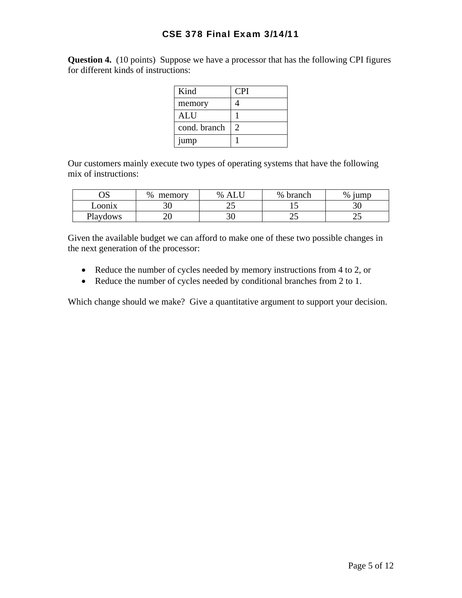**Question 4.** (10 points) Suppose we have a processor that has the following CPI figures for different kinds of instructions:

| Kind         | CPI |
|--------------|-----|
| memory       |     |
| <b>ALU</b>   |     |
| cond. branch |     |
| jump         |     |

Our customers mainly execute two types of operating systems that have the following mix of instructions:

| ОS       | %<br>memory | $\%$ | %<br>branch | %<br>iump |
|----------|-------------|------|-------------|-----------|
| Loonix   | υU          | ري   | ⊥ັ          |           |
| Playdows | 17<br>∠∪    | ◡◡   | رے          | ت         |

Given the available budget we can afford to make one of these two possible changes in the next generation of the processor:

- Reduce the number of cycles needed by memory instructions from 4 to 2, or
- Reduce the number of cycles needed by conditional branches from 2 to 1.

Which change should we make? Give a quantitative argument to support your decision.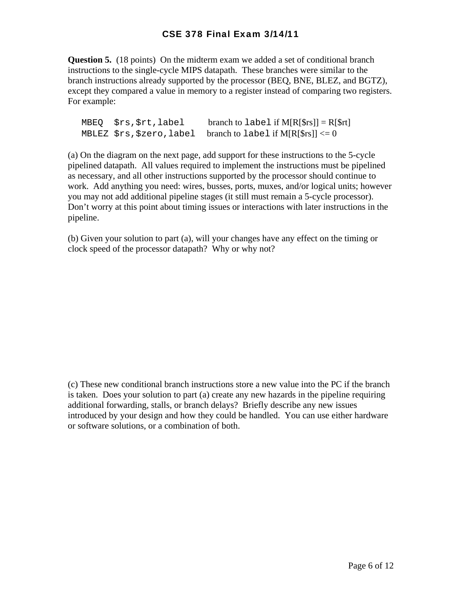**Question 5.** (18 points) On the midterm exam we added a set of conditional branch instructions to the single-cycle MIPS datapath. These branches were similar to the branch instructions already supported by the processor (BEQ, BNE, BLEZ, and BGTZ), except they compared a value in memory to a register instead of comparing two registers. For example:

 $MBEQ$   $$rs$ ,  $$rt$ , label branch to label if  $M[R[$rs]] = R[$rt]$ MBLEZ  $srs$ ,  $szero$ , label branch to label if M[R[ $srs$ ]]  $\leq 0$ 

(a) On the diagram on the next page, add support for these instructions to the 5-cycle pipelined datapath. All values required to implement the instructions must be pipelined as necessary, and all other instructions supported by the processor should continue to work. Add anything you need: wires, busses, ports, muxes, and/or logical units; however you may not add additional pipeline stages (it still must remain a 5-cycle processor). Don't worry at this point about timing issues or interactions with later instructions in the pipeline.

(b) Given your solution to part (a), will your changes have any effect on the timing or clock speed of the processor datapath? Why or why not?

(c) These new conditional branch instructions store a new value into the PC if the branch is taken. Does your solution to part (a) create any new hazards in the pipeline requiring additional forwarding, stalls, or branch delays? Briefly describe any new issues introduced by your design and how they could be handled. You can use either hardware or software solutions, or a combination of both.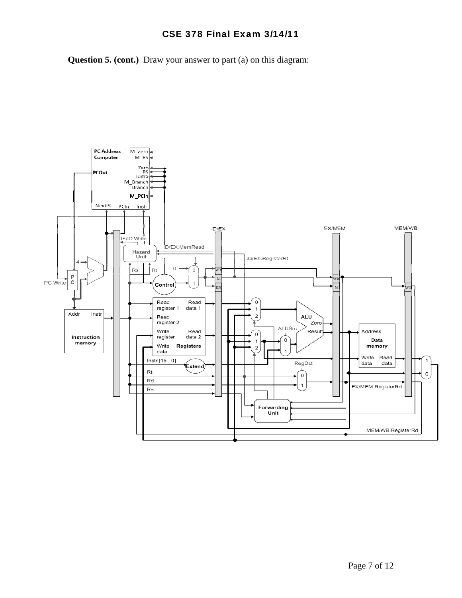**Question 5. (cont.)** Draw your answer to part (a) on this diagram:

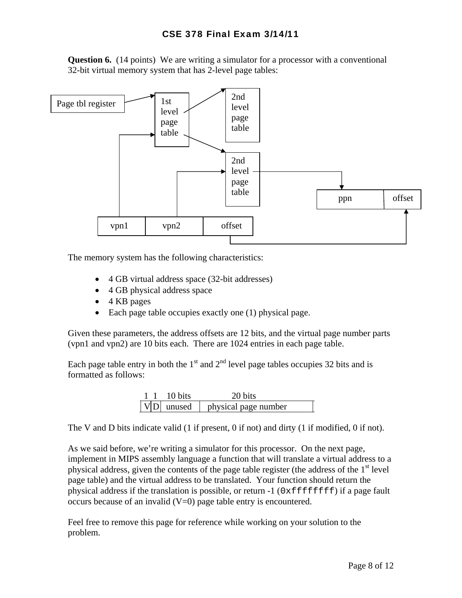**Question 6.** (14 points) We are writing a simulator for a processor with a conventional 32-bit virtual memory system that has 2-level page tables:



The memory system has the following characteristics:

- 4 GB virtual address space (32-bit addresses)
- 4 GB physical address space
- 4 KB pages
- Each page table occupies exactly one (1) physical page.

Given these parameters, the address offsets are 12 bits, and the virtual page number parts (vpn1 and vpn2) are 10 bits each. There are 1024 entries in each page table.

Each page table entry in both the  $1<sup>st</sup>$  and  $2<sup>nd</sup>$  level page tables occupies 32 bits and is formatted as follows:

|  | 10 bits        | 20 bits              |
|--|----------------|----------------------|
|  | $ V D $ unused | physical page number |

The V and D bits indicate valid (1 if present, 0 if not) and dirty (1 if modified, 0 if not).

As we said before, we're writing a simulator for this processor. On the next page, implement in MIPS assembly language a function that will translate a virtual address to a physical address, given the contents of the page table register (the address of the  $1<sup>st</sup>$  level page table) and the virtual address to be translated. Your function should return the physical address if the translation is possible, or return  $-1$  ( $0 \times \text{effiff}$ ) if a page fault occurs because of an invalid  $(V=0)$  page table entry is encountered.

Feel free to remove this page for reference while working on your solution to the problem.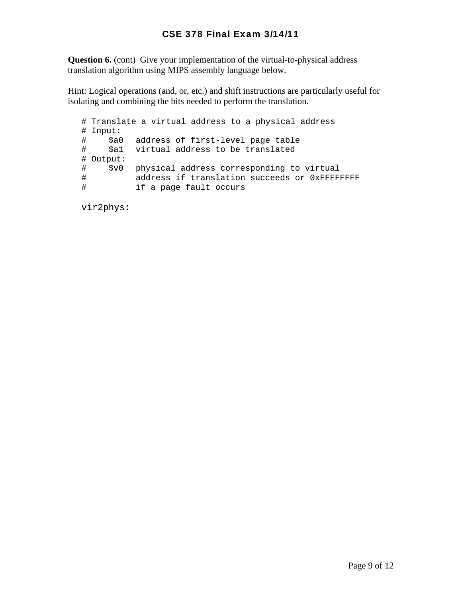**Question 6.** (cont) Give your implementation of the virtual-to-physical address translation algorithm using MIPS assembly language below.

Hint: Logical operations (and, or, etc.) and shift instructions are particularly useful for isolating and combining the bits needed to perform the translation.

```
 # Translate a virtual address to a physical address 
# Input: 
# $a0 address of first-level page table 
# $a1 virtual address to be translated 
# Output: 
# $v0 physical address corresponding to virtual 
# address if translation succeeds or 0xFFFFFFFF 
# if a page fault occurs
```
vir2phys: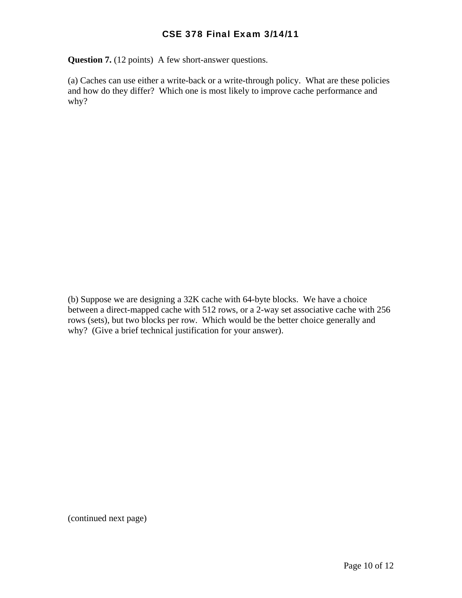**Question 7.** (12 points) A few short-answer questions.

(a) Caches can use either a write-back or a write-through policy. What are these policies and how do they differ? Which one is most likely to improve cache performance and why?

(b) Suppose we are designing a 32K cache with 64-byte blocks. We have a choice between a direct-mapped cache with 512 rows, or a 2-way set associative cache with 256 rows (sets), but two blocks per row. Which would be the better choice generally and why? (Give a brief technical justification for your answer).

(continued next page)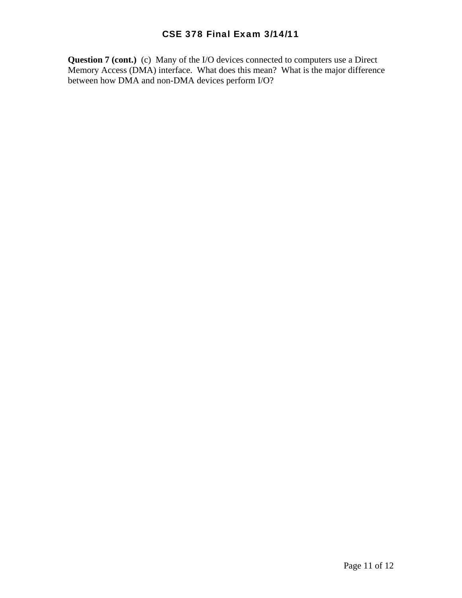**Question 7 (cont.)** (c) Many of the I/O devices connected to computers use a Direct Memory Access (DMA) interface. What does this mean? What is the major difference between how DMA and non-DMA devices perform I/O?